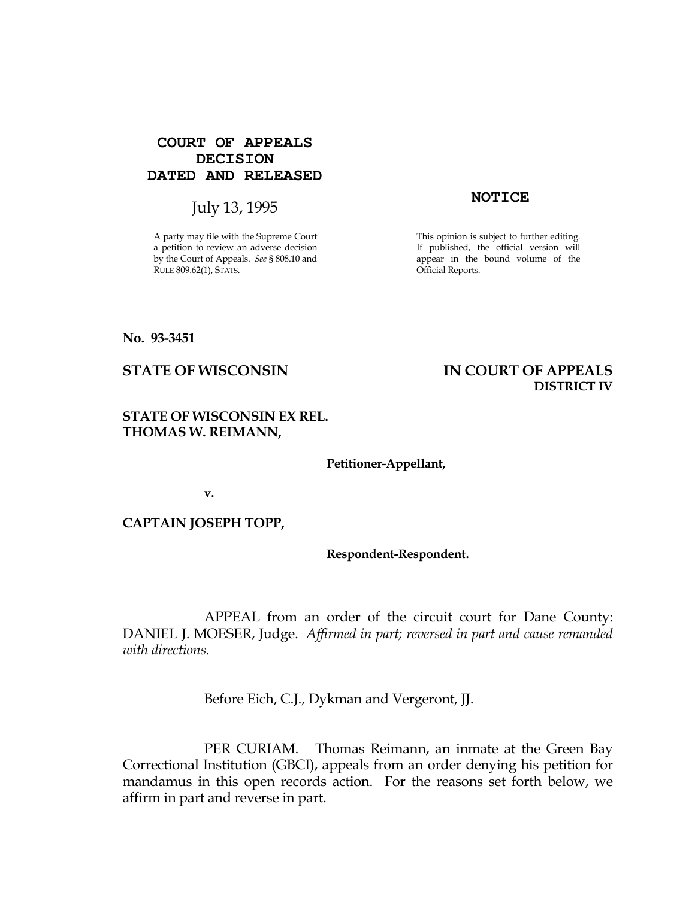# **COURT OF APPEALS DECISION DATED AND RELEASED**

# July 13, 1995 **NOTICE**

A party may file with the Supreme Court a petition to review an adverse decision by the Court of Appeals. See § 808.10 and RULE 809.62(1), STATS.

This opinion is subject to further editing. If published, the official version will appear in the bound volume of the Official Reports.

DISTRICT IV

No. 93-3451

STATE OF WISCONSIN THE RESERVE TO THE STATE OF APPEALS

# STATE OF WISCONSIN EX REL. THOMAS W. REIMANN,

Petitioner-Appellant,

v.

CAPTAIN JOSEPH TOPP,

Respondent-Respondent.

 APPEAL from an order of the circuit court for Dane County: DANIEL J. MOESER, Judge. Affirmed in part; reversed in part and cause remanded with directions.

Before Eich, C.J., Dykman and Vergeront, JJ.

 PER CURIAM. Thomas Reimann, an inmate at the Green Bay Correctional Institution (GBCI), appeals from an order denying his petition for mandamus in this open records action. For the reasons set forth below, we affirm in part and reverse in part.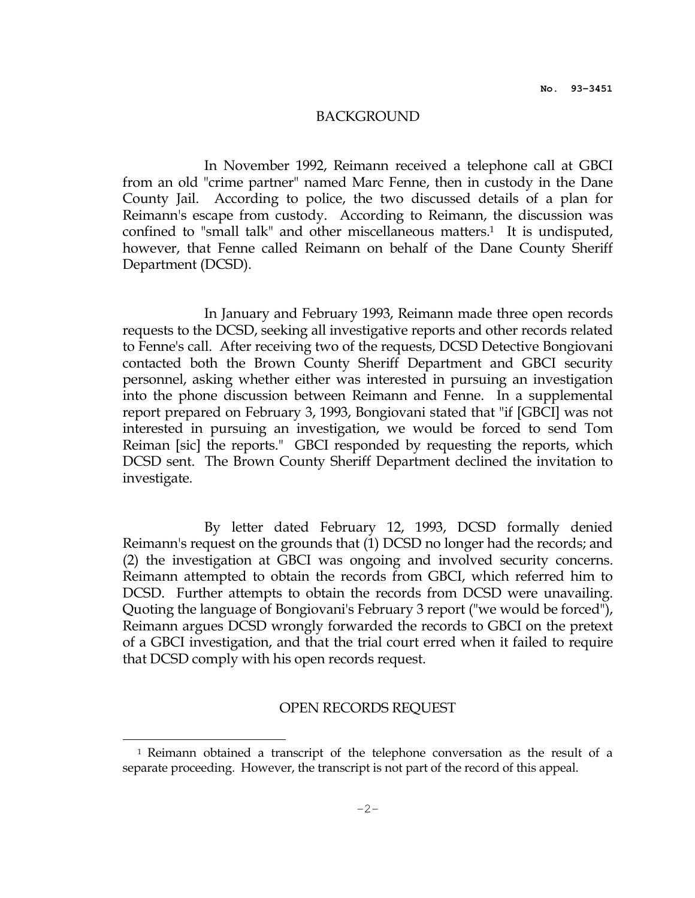#### BACKGROUND

 In November 1992, Reimann received a telephone call at GBCI from an old "crime partner" named Marc Fenne, then in custody in the Dane County Jail. According to police, the two discussed details of a plan for Reimann's escape from custody. According to Reimann, the discussion was confined to "small talk" and other miscellaneous matters.1 It is undisputed, however, that Fenne called Reimann on behalf of the Dane County Sheriff Department (DCSD).

 In January and February 1993, Reimann made three open records requests to the DCSD, seeking all investigative reports and other records related to Fenne's call. After receiving two of the requests, DCSD Detective Bongiovani contacted both the Brown County Sheriff Department and GBCI security personnel, asking whether either was interested in pursuing an investigation into the phone discussion between Reimann and Fenne. In a supplemental report prepared on February 3, 1993, Bongiovani stated that "if [GBCI] was not interested in pursuing an investigation, we would be forced to send Tom Reiman [sic] the reports." GBCI responded by requesting the reports, which DCSD sent. The Brown County Sheriff Department declined the invitation to investigate.

 By letter dated February 12, 1993, DCSD formally denied Reimann's request on the grounds that (1) DCSD no longer had the records; and (2) the investigation at GBCI was ongoing and involved security concerns. Reimann attempted to obtain the records from GBCI, which referred him to DCSD. Further attempts to obtain the records from DCSD were unavailing. Quoting the language of Bongiovani's February 3 report ("we would be forced"), Reimann argues DCSD wrongly forwarded the records to GBCI on the pretext of a GBCI investigation, and that the trial court erred when it failed to require that DCSD comply with his open records request.

#### OPEN RECORDS REQUEST

 $\overline{a}$ 

<sup>1</sup> Reimann obtained a transcript of the telephone conversation as the result of a separate proceeding. However, the transcript is not part of the record of this appeal.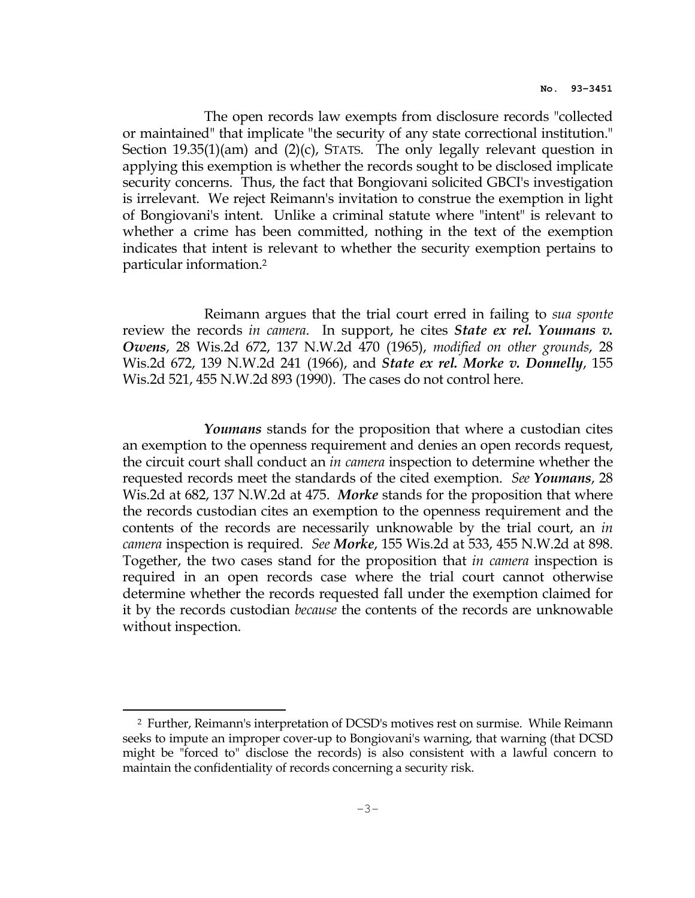The open records law exempts from disclosure records "collected or maintained" that implicate "the security of any state correctional institution." Section 19.35(1)(am) and (2)(c), STATS. The only legally relevant question in applying this exemption is whether the records sought to be disclosed implicate security concerns. Thus, the fact that Bongiovani solicited GBCI's investigation is irrelevant. We reject Reimann's invitation to construe the exemption in light of Bongiovani's intent. Unlike a criminal statute where "intent" is relevant to whether a crime has been committed, nothing in the text of the exemption indicates that intent is relevant to whether the security exemption pertains to particular information.<sup>2</sup>

 Reimann argues that the trial court erred in failing to sua sponte review the records in camera. In support, he cites *State ex rel. Youmans v.* Owens, 28 Wis.2d 672, 137 N.W.2d 470 (1965), modified on other grounds, 28 Wis.2d 672, 139 N.W.2d 241 (1966), and *State ex rel. Morke v. Donnelly*, 155 Wis.2d 521, 455 N.W.2d 893 (1990). The cases do not control here.

Youmans stands for the proposition that where a custodian cites an exemption to the openness requirement and denies an open records request, the circuit court shall conduct an *in camera* inspection to determine whether the requested records meet the standards of the cited exemption. See Youmans, 28 Wis.2d at 682, 137 N.W.2d at 475. Morke stands for the proposition that where the records custodian cites an exemption to the openness requirement and the contents of the records are necessarily unknowable by the trial court, an *in* camera inspection is required. See Morke, 155 Wis.2d at 533, 455 N.W.2d at 898. Together, the two cases stand for the proposition that in camera inspection is required in an open records case where the trial court cannot otherwise determine whether the records requested fall under the exemption claimed for it by the records custodian because the contents of the records are unknowable without inspection.

 $\overline{a}$ 

<sup>2</sup> Further, Reimann's interpretation of DCSD's motives rest on surmise. While Reimann seeks to impute an improper cover-up to Bongiovani's warning, that warning (that DCSD might be "forced to" disclose the records) is also consistent with a lawful concern to maintain the confidentiality of records concerning a security risk.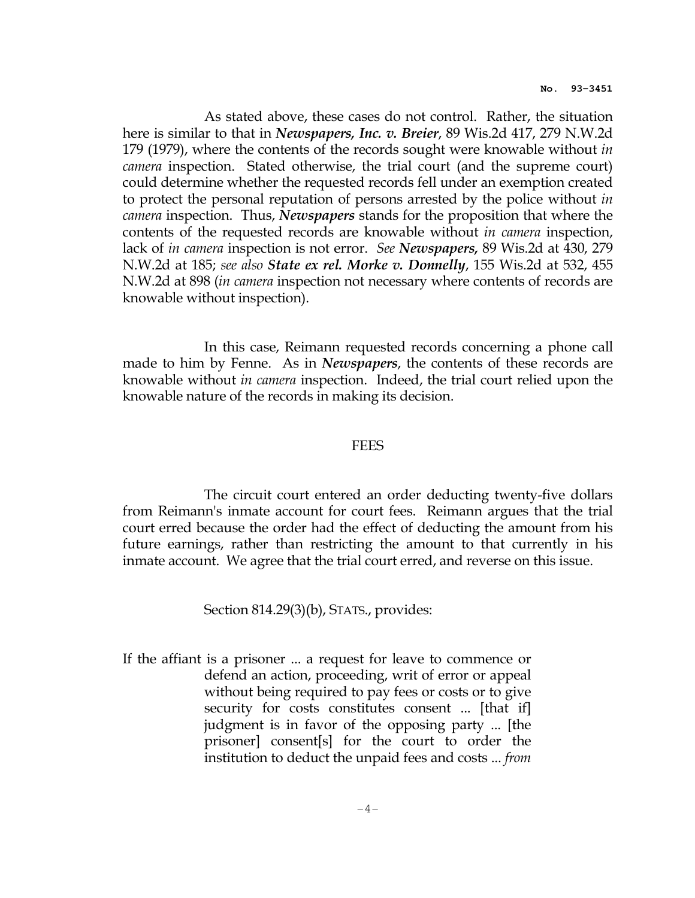As stated above, these cases do not control. Rather, the situation here is similar to that in *Newspapers, Inc. v. Breier*, 89 Wis.2d 417, 279 N.W.2d 179 (1979), where the contents of the records sought were knowable without *in* camera inspection. Stated otherwise, the trial court (and the supreme court) could determine whether the requested records fell under an exemption created to protect the personal reputation of persons arrested by the police without in *camera* inspection. Thus, *Newspapers* stands for the proposition that where the contents of the requested records are knowable without in camera inspection, lack of in camera inspection is not error. See Newspapers, 89 Wis.2d at 430, 279 N.W.2d at 185; see also State ex rel. Morke v. Donnelly, 155 Wis.2d at 532, 455 N.W.2d at 898 (in camera inspection not necessary where contents of records are knowable without inspection).

 In this case, Reimann requested records concerning a phone call made to him by Fenne. As in *Newspapers*, the contents of these records are knowable without in camera inspection. Indeed, the trial court relied upon the knowable nature of the records in making its decision.

## **FEES**

 The circuit court entered an order deducting twenty-five dollars from Reimann's inmate account for court fees. Reimann argues that the trial court erred because the order had the effect of deducting the amount from his future earnings, rather than restricting the amount to that currently in his inmate account. We agree that the trial court erred, and reverse on this issue.

### Section 814.29(3)(b), STATS., provides:

If the affiant is a prisoner ... a request for leave to commence or defend an action, proceeding, writ of error or appeal without being required to pay fees or costs or to give security for costs constitutes consent ... [that if] judgment is in favor of the opposing party ... [the prisoner] consent[s] for the court to order the institution to deduct the unpaid fees and costs ... from